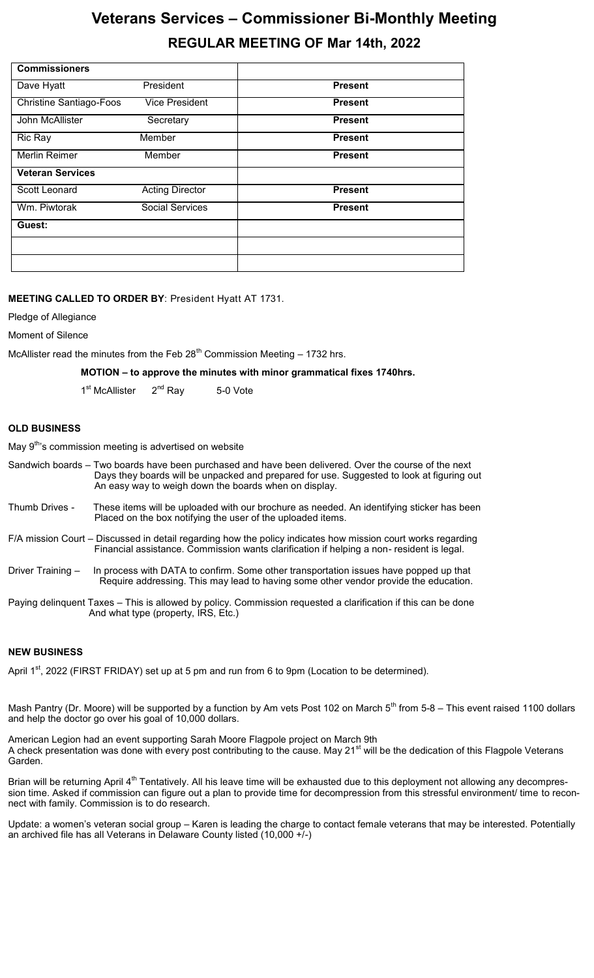# **Veterans Services – Commissioner Bi-Monthly Meeting REGULAR MEETING OF Mar 14th, 2022**

| <b>Commissioners</b>           |                        |                |
|--------------------------------|------------------------|----------------|
| Dave Hyatt                     | President              | <b>Present</b> |
| <b>Christine Santiago-Foos</b> | <b>Vice President</b>  | <b>Present</b> |
| John McAllister                | Secretary              | <b>Present</b> |
| Ric Ray                        | Member                 | <b>Present</b> |
| Merlin Reimer                  | Member                 | <b>Present</b> |
| <b>Veteran Services</b>        |                        |                |
| Scott Leonard                  | <b>Acting Director</b> | <b>Present</b> |
| Wm. Piwtorak                   | <b>Social Services</b> | <b>Present</b> |
| Guest:                         |                        |                |
|                                |                        |                |
|                                |                        |                |

### **MEETING CALLED TO ORDER BY**: President Hyatt AT 1731.

Pledge of Allegiance

Moment of Silence

McAllister read the minutes from the Feb  $28<sup>th</sup>$  Commission Meeting  $-1732$  hrs.

**MOTION – to approve the minutes with minor grammatical fixes 1740hrs.**

1<sup>st</sup> McAllister 2<sup>nd</sup> Ray 5-0 Vote

### **OLD BUSINESS**

May 9<sup>th</sup>'s commission meeting is advertised on website

|                                                                                                                                                      | Sandwich boards – Two boards have been purchased and have been delivered. Over the course of the next<br>Days they boards will be unpacked and prepared for use. Suggested to look at figuring out<br>An easy way to weigh down the boards when on display. |  |  |  |
|------------------------------------------------------------------------------------------------------------------------------------------------------|-------------------------------------------------------------------------------------------------------------------------------------------------------------------------------------------------------------------------------------------------------------|--|--|--|
| Thumb Drives -                                                                                                                                       | These items will be uploaded with our brochure as needed. An identifying sticker has been<br>Placed on the box notifying the user of the uploaded items.                                                                                                    |  |  |  |
|                                                                                                                                                      | F/A mission Court – Discussed in detail regarding how the policy indicates how mission court works regarding<br>Financial assistance. Commission wants clarification if helping a non-resident is legal.                                                    |  |  |  |
| Driver Training -                                                                                                                                    | In process with DATA to confirm. Some other transportation issues have popped up that<br>Require addressing. This may lead to having some other vendor provide the education.                                                                               |  |  |  |
| Paying delinquent Taxes – This is allowed by policy. Commission requested a clarification if this can be done<br>And what type (property, IRS, Etc.) |                                                                                                                                                                                                                                                             |  |  |  |

### **NEW BUSINESS**

April 1<sup>st</sup>, 2022 (FIRST FRIDAY) set up at 5 pm and run from 6 to 9pm (Location to be determined).

Mash Pantry (Dr. Moore) will be supported by a function by Am vets Post 102 on March  $5<sup>th</sup>$  from 5-8 – This event raised 1100 dollars and help the doctor go over his goal of 10,000 dollars.

American Legion had an event supporting Sarah Moore Flagpole project on March 9th A check presentation was done with every post contributing to the cause. May 21<sup>st</sup> will be the dedication of this Flagpole Veterans Garden.

Brian will be returning April 4<sup>th</sup> Tentatively. All his leave time will be exhausted due to this deployment not allowing any decompression time. Asked if commission can figure out a plan to provide time for decompression from this stressful environment/ time to reconnect with family. Commission is to do research.

Update: a women's veteran social group – Karen is leading the charge to contact female veterans that may be interested. Potentially an archived file has all Veterans in Delaware County listed (10,000 +/-)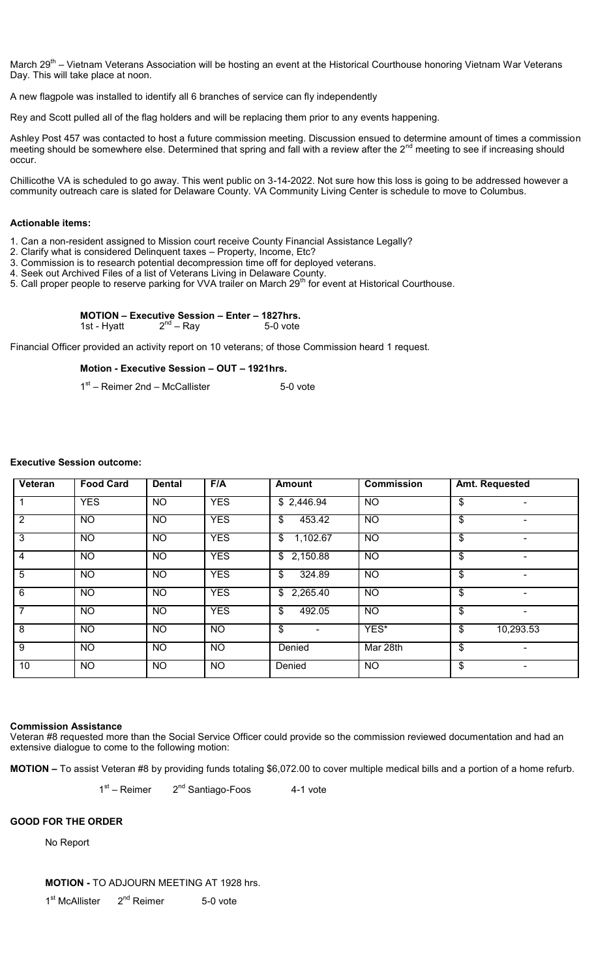March 29<sup>th</sup> – Vietnam Veterans Association will be hosting an event at the Historical Courthouse honoring Vietnam War Veterans Day. This will take place at noon.

A new flagpole was installed to identify all 6 branches of service can fly independently

Rey and Scott pulled all of the flag holders and will be replacing them prior to any events happening.

Ashley Post 457 was contacted to host a future commission meeting. Discussion ensued to determine amount of times a commission meeting should be somewhere else. Determined that spring and fall with a review after the 2<sup>nd</sup> meeting to see if increasing should occur.

Chillicothe VA is scheduled to go away. This went public on 3-14-2022. Not sure how this loss is going to be addressed however a community outreach care is slated for Delaware County. VA Community Living Center is schedule to move to Columbus.

### **Actionable items:**

1. Can a non-resident assigned to Mission court receive County Financial Assistance Legally?

- 2. Clarify what is considered Delinquent taxes Property, Income, Etc?
- 3. Commission is to research potential decompression time off for deployed veterans.
- 4. Seek out Archived Files of a list of Veterans Living in Delaware County.
- 5. Call proper people to reserve parking for VVA trailer on March 29<sup>th</sup> for event at Historical Courthouse.

### **MOTION – Executive Session – Enter – 1827hrs.**

1st - Hyatt  $2^{nd}$  – Ray 5-0 vote

Financial Officer provided an activity report on 10 veterans; of those Commission heard 1 request.

### **Motion - Executive Session – OUT – 1921hrs.**

1<sup>st</sup> – Reimer 2nd – McCallister **6-1 bis 1918** 5-0 vote

### **Executive Session outcome:**

| Veteran        | <b>Food Card</b> | <b>Dental</b>   | F/A        | <b>Amount</b>              | <b>Commission</b> | Amt. Requested                 |  |
|----------------|------------------|-----------------|------------|----------------------------|-------------------|--------------------------------|--|
|                | <b>YES</b>       | <b>NO</b>       | <b>YES</b> | \$2,446.94                 | <b>NO</b>         | \$                             |  |
| 2              | <b>NO</b>        | <b>NO</b>       | <b>YES</b> | \$<br>453.42               | <b>NO</b>         | \$                             |  |
| $\overline{3}$ | $\overline{NO}$  | $\overline{NO}$ | <b>YES</b> | 1,102.67<br>$\mathfrak{S}$ | $\overline{NO}$   | \$<br>$\overline{\phantom{0}}$ |  |
| 4              | <b>NO</b>        | <b>NO</b>       | <b>YES</b> | \$2,150.88                 | <b>NO</b>         | \$                             |  |
| 5              | <b>NO</b>        | <b>NO</b>       | <b>YES</b> | 324.89<br>\$               | <b>NO</b>         | \$                             |  |
| $\overline{6}$ | <b>NO</b>        | <b>NO</b>       | <b>YES</b> | \$2,265.40                 | <b>NO</b>         | \$<br>۰                        |  |
| $\overline{7}$ | <b>NO</b>        | <b>NO</b>       | <b>YES</b> | \$<br>492.05               | <b>NO</b>         | \$                             |  |
| 8              | <b>NO</b>        | <b>NO</b>       | <b>NO</b>  | \$<br>$\blacksquare$       | YES*              | \$<br>10,293.53                |  |
| $\overline{9}$ | <b>NO</b>        | <b>NO</b>       | <b>NO</b>  | Denied                     | Mar 28th          | $\mathfrak{S}$                 |  |
| 10             | NO.              | <b>NO</b>       | NO.        | Denied                     | <b>NO</b>         | \$                             |  |

### **Commission Assistance**

Veteran #8 requested more than the Social Service Officer could provide so the commission reviewed documentation and had an extensive dialogue to come to the following motion:

**MOTION –** To assist Veteran #8 by providing funds totaling \$6,072.00 to cover multiple medical bills and a portion of a home refurb.

 $1$  and  $1$  $1<sup>st</sup>$  – Reimer  $2<sup>nd</sup>$  Santiago-Foos  $4-1$  vote

### **GOOD FOR THE ORDER**

No Report

**MOTION -** TO ADJOURN MEETING AT 1928 hrs.

1<sup>st</sup> McAllister 2  $2<sup>nd</sup>$  Reimer 5-0 vote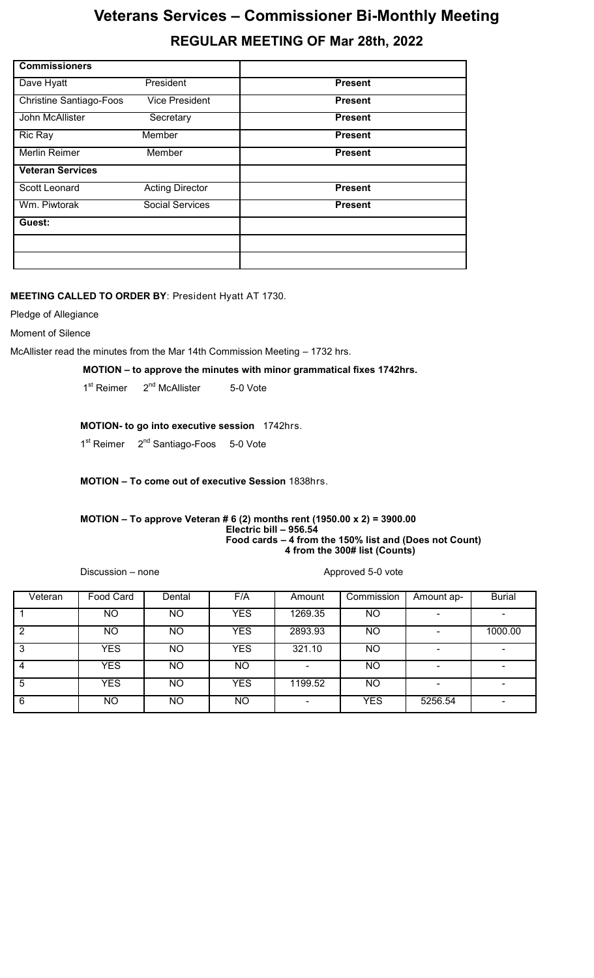# **Veterans Services – Commissioner Bi-Monthly Meeting REGULAR MEETING OF Mar 28th, 2022**

| <b>Commissioners</b>           |                        |                |
|--------------------------------|------------------------|----------------|
| Dave Hyatt                     | President              | <b>Present</b> |
| <b>Christine Santiago-Foos</b> | <b>Vice President</b>  | <b>Present</b> |
| John McAllister                | Secretary              | <b>Present</b> |
| Ric Ray                        | Member                 | <b>Present</b> |
| Merlin Reimer                  | Member                 | <b>Present</b> |
| <b>Veteran Services</b>        |                        |                |
| Scott Leonard                  | <b>Acting Director</b> | <b>Present</b> |
| Wm. Piwtorak                   | <b>Social Services</b> | <b>Present</b> |
| Guest:                         |                        |                |
|                                |                        |                |
|                                |                        |                |

## **MEETING CALLED TO ORDER BY**: President Hyatt AT 1730.

Pledge of Allegiance

Moment of Silence

McAllister read the minutes from the Mar 14th Commission Meeting – 1732 hrs.

**MOTION – to approve the minutes with minor grammatical fixes 1742hrs.**

1<sup>st</sup> Reimer  $2^{nd}$  McAllister 5-0 Vote

## **MOTION- to go into executive session** 1742hrs.

1<sup>st</sup> Reimer 2<sup>nd</sup> Santiago-Foos 5-0 Vote

## **MOTION – To come out of executive Session** 1838hrs.

#### **MOTION – To approve Veteran # 6 (2) months rent (1950.00 x 2) = 3900.00 Electric bill – 956.54 Food cards – 4 from the 150% list and (Does not Count) 4 from the 300# list (Counts)**

Discussion – none Approved 5-0 vote

| Veteran | Food Card  | Dental | F/A        | Amount  | Commission | Amount ap- | <b>Burial</b> |
|---------|------------|--------|------------|---------|------------|------------|---------------|
|         | NO.        | ΝO     | <b>YES</b> | 1269.35 | NO         |            |               |
|         | NO.        | ΝO     | <b>YES</b> | 2893.93 | NO         |            | 1000.00       |
| 3       | <b>YES</b> | ΝO     | <b>YES</b> | 321.10  | NO         |            |               |
|         | <b>YES</b> | ΝO     | <b>NO</b>  |         | NO         |            |               |
| 5       | <b>YES</b> | ΝO     | <b>YES</b> | 1199.52 | NO.        |            |               |
| 6       | NO.        | ΝO     | NO.        |         | <b>YES</b> | 5256.54    |               |